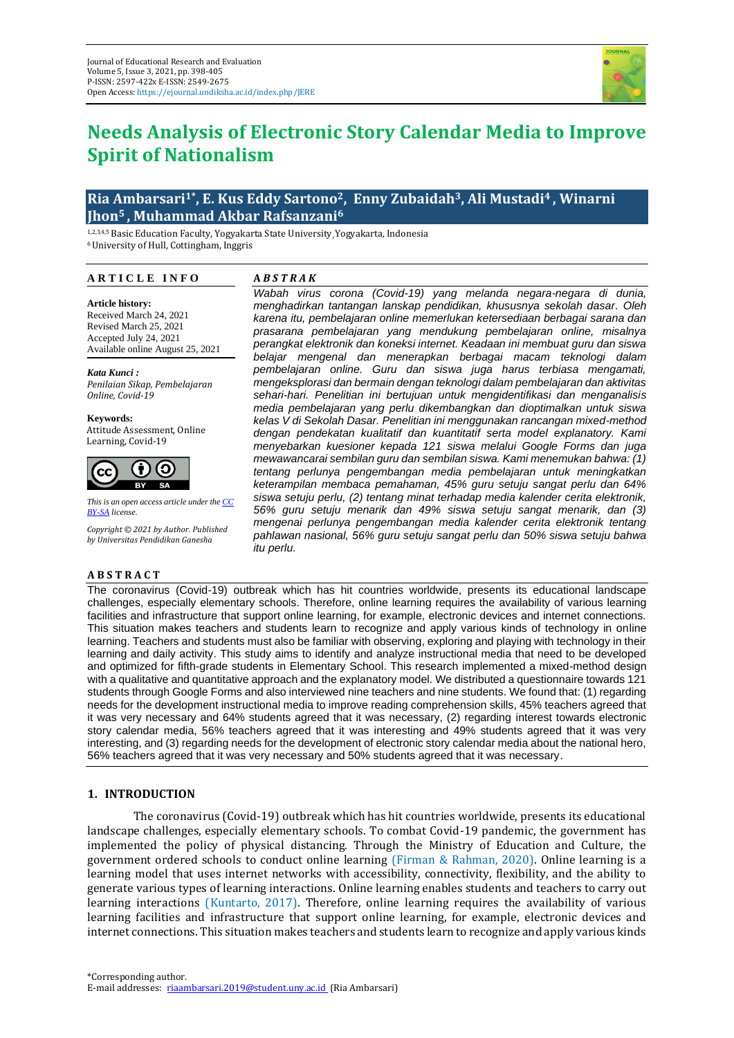

# **Needs Analysis of Electronic Story Calendar Media to Improve Spirit of Nationalism**

# **Ria Ambarsari1\* , E. Kus Eddy Sartono2, Enny Zubaidah3, Ali Mustadi<sup>4</sup> , Winarni Jhon<sup>5</sup> , Muhammad Akbar Rafsanzani<sup>6</sup>**

1,2,3,4,5Basic Education Faculty, Yogyakarta State University¸Yogyakarta, Indonesia <sup>6</sup>University of Hull, Cottingham, Inggris

# **A R T I C L E I N F O A R T I C L E I N F O**

**A** *B S T R A K*

*Article history:* Received March 24, 2021 Revised March 25, 2021 Accepted July 24, 2021 Avoilable online Avous Available online August 25, 2021 Available online August 25, 2021 **Article history:**

*Keywords: Communicative, Collaborative, BSE Online, Covid-19 Kata Kunci : Penilaian Sikap, Pembelajaran* 

**Keywords:** Attitude Assessment, Online Learning, Covid-19



*This is an open access article under the [CC](https://creativecommons.org/licenses/by-sa/4.0/)  [BY-SA](https://creativecommons.org/licenses/by-sa/4.0/) license.*

*Copyright © 2021 by Author. Published by Universitas Pendidikan Ganesha*

# **A B S T R A C T**

*menghadirkan tantangan lanskap pendidikan, khususnya sekolah dasar. Oleh karena itu, pembelajaran online memerlukan ketersediaan berbagai sarana dan prasarana pembelajaran yang mendukung pembelajaran online, misalnya perangkat elektronik dan koneksi internet. Keadaan ini membuat guru dan siswa belajar mengenal dan menerapkan berbagai macam teknologi dalam pembelajaran online. Guru dan siswa juga harus terbiasa mengamati, mengeksplorasi dan bermain dengan teknologi dalam pembelajaran dan aktivitas sehari-hari. Penelitian ini bertujuan untuk mengidentifikasi dan menganalisis media pembelajaran yang perlu dikembangkan dan dioptimalkan untuk siswa kelas V di Sekolah Dasar. Penelitian ini menggunakan rancangan mixed-method dengan pendekatan kualitatif dan kuantitatif serta model explanatory. Kami menyebarkan kuesioner kepada 121 siswa melalui Google Forms dan juga mewawancarai sembilan guru dan sembilan siswa. Kami menemukan bahwa: (1) tentang perlunya pengembangan media pembelajaran untuk meningkatkan keterampilan membaca pemahaman, 45% guru setuju sangat perlu dan 64% siswa setuju perlu, (2) tentang minat terhadap media kalender cerita elektronik, 56% guru setuju menarik dan 49% siswa setuju sangat menarik, dan (3) mengenai perlunya pengembangan media kalender cerita elektronik tentang pahlawan nasional, 56% guru setuju sangat perlu dan 50% siswa setuju bahwa itu perlu.*

*Wabah virus corona (Covid-19) yang melanda negara-negara di dunia,* 

The coronavirus (Covid-19) outbreak which has hit countries worldwide, presents its educational landscape challenges, especially elementary schools. Therefore, online learning requires the availability of various learning facilities and infrastructure that support online learning, for example, electronic devices and internet connections. This situation makes teachers and students learn to recognize and apply various kinds of technology in online learning. Teachers and students must also be familiar with observing, exploring and playing with technology in their learning and daily activity. This study aims to identify and analyze instructional media that need to be developed and optimized for fifth-grade students in Elementary School. This research implemented a mixed-method design with a qualitative and quantitative approach and the explanatory model. We distributed a questionnaire towards 121 students through Google Forms and also interviewed nine teachers and nine students. We found that: (1) regarding needs for the development instructional media to improve reading comprehension skills, 45% teachers agreed that it was very necessary and 64% students agreed that it was necessary, (2) regarding interest towards electronic story calendar media, 56% teachers agreed that it was interesting and 49% students agreed that it was very interesting, and (3) regarding needs for the development of electronic story calendar media about the national hero, 56% teachers agreed that it was very necessary and 50% students agreed that it was necessary.

## **1. INTRODUCTION**

The coronavirus (Covid-19) outbreak which has hit countries worldwide, presents its educational landscape challenges, especially elementary schools. To combat Covid-19 pandemic, the government has implemented the policy of physical distancing. Through the Ministry of Education and Culture, the government ordered schools to conduct online learning (Firman & Rahman, 2020). Online learning is a learning model that uses internet networks with accessibility, connectivity, flexibility, and the ability to generate various types of learning interactions. Online learning enables students and teachers to carry out learning interactions (Kuntarto, 2017). Therefore, online learning requires the availability of various learning facilities and infrastructure that support online learning, for example, electronic devices and internet connections. This situation makes teachers and students learn to recognize and apply various kinds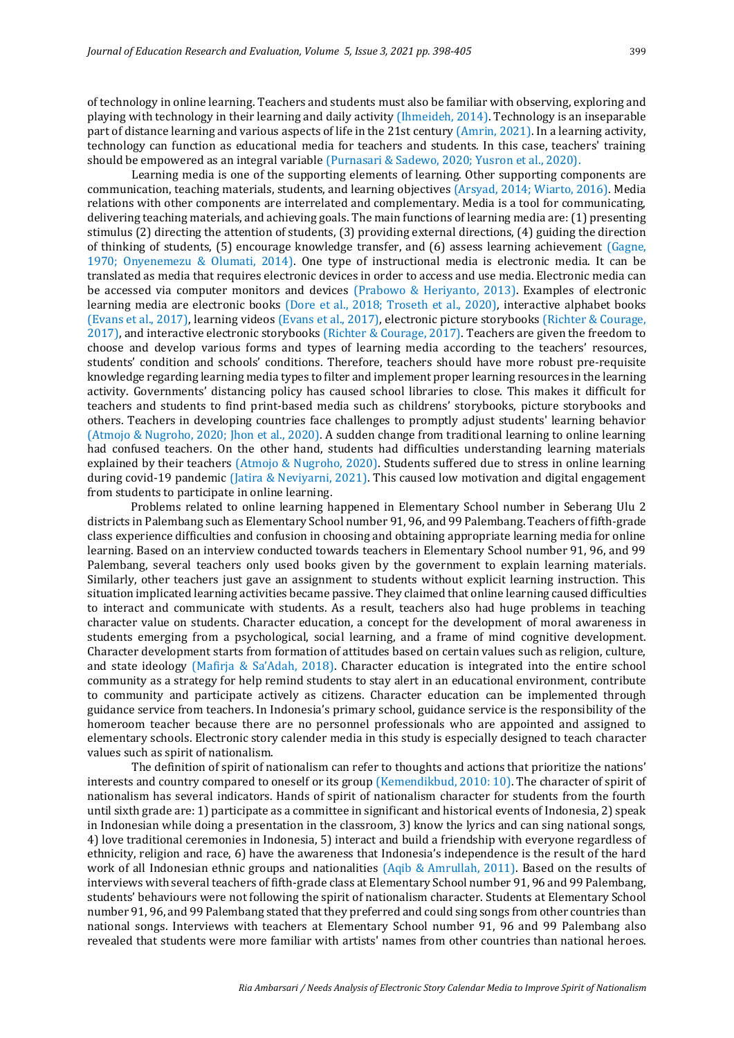of technology in online learning. Teachers and students must also be familiar with observing, exploring and playing with technology in their learning and daily activity (Ihmeideh, 2014). Technology is an inseparable part of distance learning and various aspects of life in the 21st century (Amrin, 2021). In a learning activity, technology can function as educational media for teachers and students. In this case, teachers' training should be empowered as an integral variable (Purnasari & Sadewo, 2020; Yusron et al., 2020).

Learning media is one of the supporting elements of learning. Other supporting components are communication, teaching materials, students, and learning objectives (Arsyad, 2014; Wiarto, 2016). Media relations with other components are interrelated and complementary. Media is a tool for communicating, delivering teaching materials, and achieving goals. The main functions of learning media are: (1) presenting stimulus (2) directing the attention of students, (3) providing external directions, (4) guiding the direction of thinking of students, (5) encourage knowledge transfer, and (6) assess learning achievement (Gagne, 1970; Onyenemezu & Olumati, 2014). One type of instructional media is electronic media. It can be translated as media that requires electronic devices in order to access and use media. Electronic media can be accessed via computer monitors and devices (Prabowo & Heriyanto, 2013). Examples of electronic learning media are electronic books (Dore et al., 2018; Troseth et al., 2020), interactive alphabet books (Evans et al., 2017), learning videos (Evans et al., 2017), electronic picture storybooks (Richter & Courage, 2017), and interactive electronic storybooks (Richter & Courage, 2017). Teachers are given the freedom to choose and develop various forms and types of learning media according to the teachers' resources, students' condition and schools' conditions. Therefore, teachers should have more robust pre-requisite knowledge regarding learning media types to filter and implement proper learning resources in the learning activity. Governments' distancing policy has caused school libraries to close. This makes it difficult for teachers and students to find print-based media such as childrens' storybooks, picture storybooks and others. Teachers in developing countries face challenges to promptly adjust students' learning behavior (Atmojo & Nugroho, 2020; Jhon et al., 2020). A sudden change from traditional learning to online learning had confused teachers. On the other hand, students had difficulties understanding learning materials explained by their teachers (Atmojo & Nugroho, 2020). Students suffered due to stress in online learning during covid-19 pandemic (Jatira & Neviyarni, 2021). This caused low motivation and digital engagement from students to participate in online learning.

Problems related to online learning happened in Elementary School number in Seberang Ulu 2 districts in Palembang such as Elementary School number 91, 96, and 99 Palembang. Teachers of fifth-grade class experience difficulties and confusion in choosing and obtaining appropriate learning media for online learning. Based on an interview conducted towards teachers in Elementary School number 91, 96, and 99 Palembang, several teachers only used books given by the government to explain learning materials. Similarly, other teachers just gave an assignment to students without explicit learning instruction. This situation implicated learning activities became passive. They claimed that online learning caused difficulties to interact and communicate with students. As a result, teachers also had huge problems in teaching character value on students. Character education, a concept for the development of moral awareness in students emerging from a psychological, social learning, and a frame of mind cognitive development. Character development starts from formation of attitudes based on certain values such as religion, culture, and state ideology (Mafirja & Sa'Adah, 2018). Character education is integrated into the entire school community as a strategy for help remind students to stay alert in an educational environment, contribute to community and participate actively as citizens. Character education can be implemented through guidance service from teachers. In Indonesia's primary school, guidance service is the responsibility of the homeroom teacher because there are no personnel professionals who are appointed and assigned to elementary schools. Electronic story calender media in this study is especially designed to teach character values such as spirit of nationalism.

The definition of spirit of nationalism can refer to thoughts and actions that prioritize the nations' interests and country compared to oneself or its group (Kemendikbud, 2010: 10). The character of spirit of nationalism has several indicators. Hands of spirit of nationalism character for students from the fourth until sixth grade are: 1) participate as a committee in significant and historical events of Indonesia, 2) speak in Indonesian while doing a presentation in the classroom, 3) know the lyrics and can sing national songs, 4) love traditional ceremonies in Indonesia, 5) interact and build a friendship with everyone regardless of ethnicity, religion and race, 6) have the awareness that Indonesia's independence is the result of the hard work of all Indonesian ethnic groups and nationalities (Aqib & Amrullah, 2011). Based on the results of interviews with several teachers of fifth-grade class at Elementary School number 91, 96 and 99 Palembang, students' behaviours were not following the spirit of nationalism character. Students at Elementary School number 91, 96, and 99 Palembang stated that they preferred and could sing songs from other countries than national songs. Interviews with teachers at Elementary School number 91, 96 and 99 Palembang also revealed that students were more familiar with artists' names from other countries than national heroes.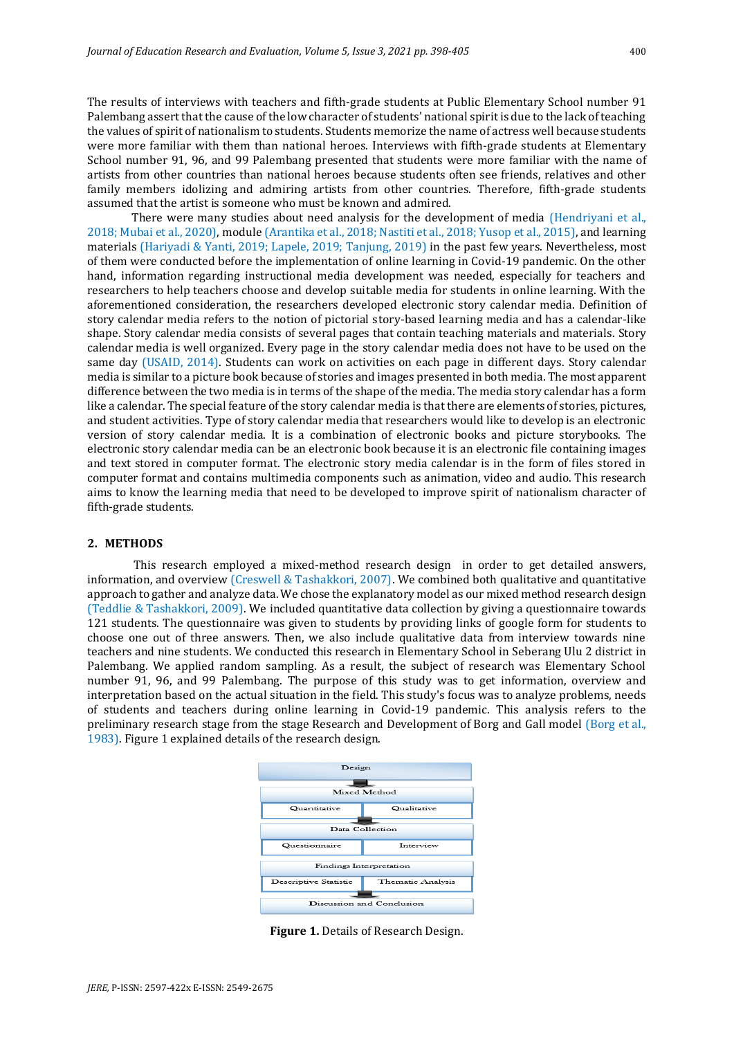The results of interviews with teachers and fifth-grade students at Public Elementary School number 91 Palembang assert that the cause of the low character of students' national spirit is due to the lack of teaching the values of spirit of nationalism to students. Students memorize the name of actress well because students were more familiar with them than national heroes. Interviews with fifth-grade students at Elementary School number 91, 96, and 99 Palembang presented that students were more familiar with the name of artists from other countries than national heroes because students often see friends, relatives and other family members idolizing and admiring artists from other countries. Therefore, fifth-grade students assumed that the artist is someone who must be known and admired.

There were many studies about need analysis for the development of media (Hendriyani et al., 2018; Mubai et al., 2020), module (Arantika et al., 2018; Nastiti et al., 2018; Yusop et al., 2015), and learning materials (Hariyadi & Yanti, 2019; Lapele, 2019; Tanjung, 2019) in the past few years. Nevertheless, most of them were conducted before the implementation of online learning in Covid-19 pandemic. On the other hand, information regarding instructional media development was needed, especially for teachers and researchers to help teachers choose and develop suitable media for students in online learning. With the aforementioned consideration, the researchers developed electronic story calendar media. Definition of story calendar media refers to the notion of pictorial story-based learning media and has a calendar-like shape. Story calendar media consists of several pages that contain teaching materials and materials. Story calendar media is well organized. Every page in the story calendar media does not have to be used on the same day (USAID, 2014). Students can work on activities on each page in different days. Story calendar media is similar to a picture book because of stories and images presented in both media. The most apparent difference between the two media is in terms of the shape of the media. The media story calendar has a form like a calendar. The special feature of the story calendar media is that there are elements of stories, pictures, and student activities. Type of story calendar media that researchers would like to develop is an electronic version of story calendar media. It is a combination of electronic books and picture storybooks. The electronic story calendar media can be an electronic book because it is an electronic file containing images and text stored in computer format. The electronic story media calendar is in the form of files stored in computer format and contains multimedia components such as animation, video and audio. This research aims to know the learning media that need to be developed to improve spirit of nationalism character of fifth-grade students.

#### **2. METHODS**

This research employed a mixed-method research design in order to get detailed answers, information, and overview (Creswell & Tashakkori, 2007). We combined both qualitative and quantitative approach to gather and analyze data. We chose the explanatory model as our mixed method research design (Teddlie & Tashakkori, 2009). We included quantitative data collection by giving a questionnaire towards 121 students. The questionnaire was given to students by providing links of google form for students to choose one out of three answers. Then, we also include qualitative data from interview towards nine teachers and nine students. We conducted this research in Elementary School in Seberang Ulu 2 district in Palembang. We applied random sampling. As a result, the subject of research was Elementary School number 91, 96, and 99 Palembang. The purpose of this study was to get information, overview and interpretation based on the actual situation in the field. This study's focus was to analyze problems, needs of students and teachers during online learning in Covid-19 pandemic. This analysis refers to the preliminary research stage from the stage Research and Development of Borg and Gall model (Borg et al., 1983). Figure 1 explained details of the research design.



**Figure 1.** Details of Research Design.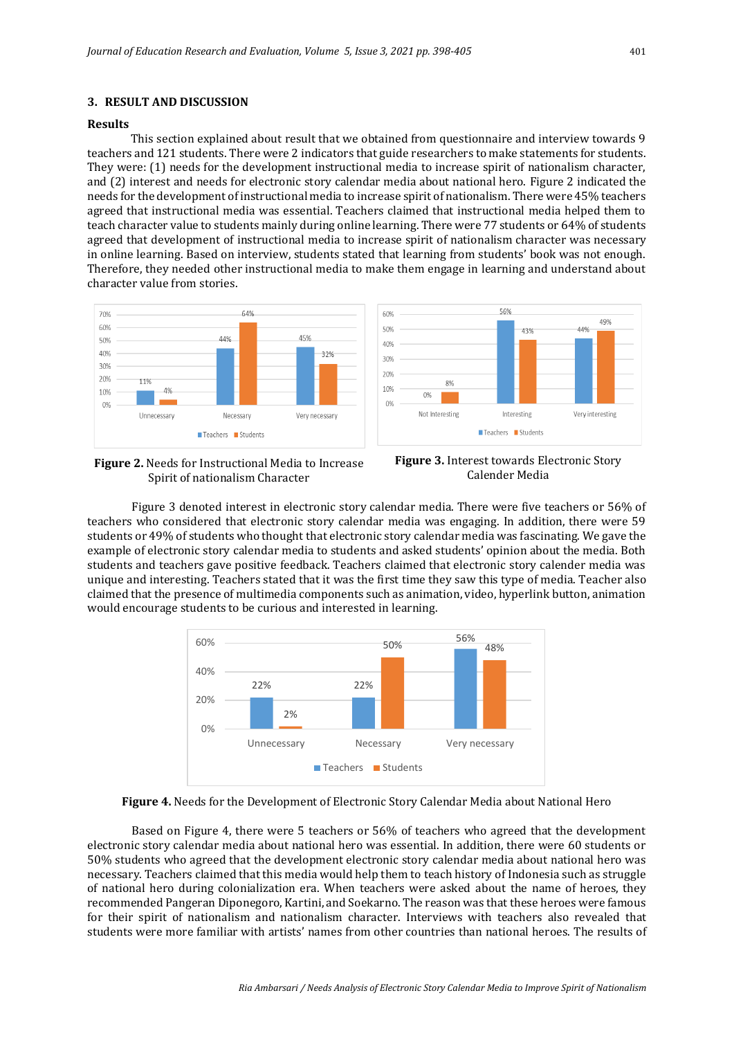## **3. RESULT AND DISCUSSION**

#### **Results**

This section explained about result that we obtained from questionnaire and interview towards 9 teachers and 121 students. There were 2 indicators that guide researchers to make statements for students. They were: (1) needs for the development instructional media to increase spirit of nationalism character, and (2) interest and needs for electronic story calendar media about national hero. Figure 2 indicated the needs for the development of instructional media to increase spirit of nationalism. There were 45% teachers agreed that instructional media was essential. Teachers claimed that instructional media helped them to teach character value to students mainly during online learning. There were 77 students or 64% of students agreed that development of instructional media to increase spirit of nationalism character was necessary in online learning. Based on interview, students stated that learning from students' book was not enough. Therefore, they needed other instructional media to make them engage in learning and understand about character value from stories.



**Figure 2.** Needs for Instructional Media to Increase Spirit of nationalism Character



**Figure 3.** Interest towards Electronic Story Calender Media

Figure 3 denoted interest in electronic story calendar media. There were five teachers or 56% of teachers who considered that electronic story calendar media was engaging. In addition, there were 59 students or 49% of students who thought that electronic story calendar media was fascinating. We gave the example of electronic story calendar media to students and asked students' opinion about the media. Both students and teachers gave positive feedback. Teachers claimed that electronic story calender media was unique and interesting. Teachers stated that it was the first time they saw this type of media. Teacher also claimed that the presence of multimedia components such as animation, video, hyperlink button, animation would encourage students to be curious and interested in learning.



**Figure 4.** Needs for the Development of Electronic Story Calendar Media about National Hero

Based on Figure 4, there were 5 teachers or 56% of teachers who agreed that the development electronic story calendar media about national hero was essential. In addition, there were 60 students or 50% students who agreed that the development electronic story calendar media about national hero was necessary. Teachers claimed that this media would help them to teach history of Indonesia such as struggle of national hero during colonialization era. When teachers were asked about the name of heroes, they recommended Pangeran Diponegoro, Kartini, and Soekarno. The reason was that these heroes were famous for their spirit of nationalism and nationalism character. Interviews with teachers also revealed that students were more familiar with artists' names from other countries than national heroes. The results of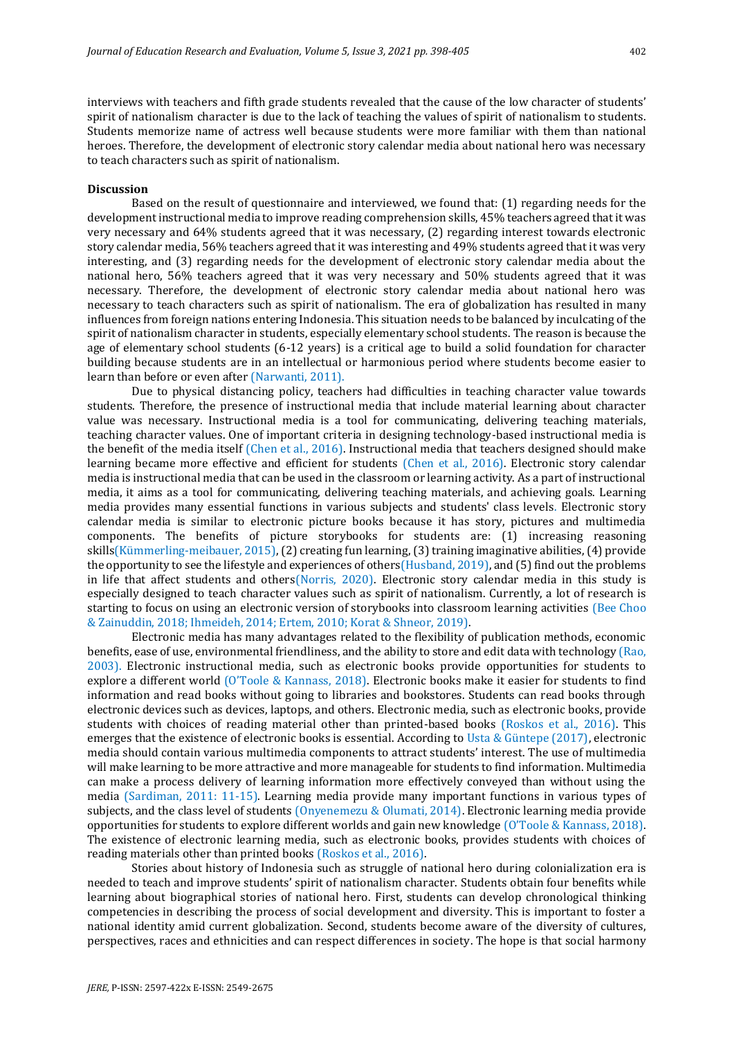interviews with teachers and fifth grade students revealed that the cause of the low character of students' spirit of nationalism character is due to the lack of teaching the values of spirit of nationalism to students. Students memorize name of actress well because students were more familiar with them than national heroes. Therefore, the development of electronic story calendar media about national hero was necessary to teach characters such as spirit of nationalism.

#### **Discussion**

Based on the result of questionnaire and interviewed, we found that: (1) regarding needs for the development instructional media to improve reading comprehension skills, 45% teachers agreed that it was very necessary and 64% students agreed that it was necessary, (2) regarding interest towards electronic story calendar media, 56% teachers agreed that it was interesting and 49% students agreed that it was very interesting, and (3) regarding needs for the development of electronic story calendar media about the national hero, 56% teachers agreed that it was very necessary and 50% students agreed that it was necessary. Therefore, the development of electronic story calendar media about national hero was necessary to teach characters such as spirit of nationalism. The era of globalization has resulted in many influences from foreign nations entering Indonesia. This situation needs to be balanced by inculcating of the spirit of nationalism character in students, especially elementary school students. The reason is because the age of elementary school students (6-12 years) is a critical age to build a solid foundation for character building because students are in an intellectual or harmonious period where students become easier to learn than before or even after (Narwanti, 2011).

Due to physical distancing policy, teachers had difficulties in teaching character value towards students. Therefore, the presence of instructional media that include material learning about character value was necessary. Instructional media is a tool for communicating, delivering teaching materials, teaching character values. One of important criteria in designing technology-based instructional media is the benefit of the media itself (Chen et al., 2016). Instructional media that teachers designed should make learning became more effective and efficient for students (Chen et al., 2016). Electronic story calendar media is instructional media that can be used in the classroom or learning activity. As a part of instructional media, it aims as a tool for communicating, delivering teaching materials, and achieving goals. Learning media provides many essential functions in various subjects and students' class levels. Electronic story calendar media is similar to electronic picture books because it has story, pictures and multimedia components. The benefits of picture storybooks for students are: (1) increasing reasoning skills(Kümmerling-meibauer, 2015), (2) creating fun learning, (3) training imaginative abilities, (4) provide the opportunity to see the lifestyle and experiences of others(Husband, 2019), and (5) find out the problems in life that affect students and others(Norris, 2020). Electronic story calendar media in this study is especially designed to teach character values such as spirit of nationalism. Currently, a lot of research is starting to focus on using an electronic version of storybooks into classroom learning activities (Bee Choo & Zainuddin, 2018; Ihmeideh, 2014; Ertem, 2010; Korat & Shneor, 2019).

Electronic media has many advantages related to the flexibility of publication methods, economic benefits, ease of use, environmental friendliness, and the ability to store and edit data with technology (Rao, 2003). Electronic instructional media, such as electronic books provide opportunities for students to explore a different world (O'Toole & Kannass, 2018). Electronic books make it easier for students to find information and read books without going to libraries and bookstores. Students can read books through electronic devices such as devices, laptops, and others. Electronic media, such as electronic books, provide students with choices of reading material other than printed-based books (Roskos et al., 2016). This emerges that the existence of electronic books is essential. According to Usta & Güntepe (2017), electronic media should contain various multimedia components to attract students' interest. The use of multimedia will make learning to be more attractive and more manageable for students to find information. Multimedia can make a process delivery of learning information more effectively conveyed than without using the media (Sardiman, 2011: 11-15). Learning media provide many important functions in various types of subjects, and the class level of students (Onyenemezu & Olumati, 2014). Electronic learning media provide opportunities for students to explore different worlds and gain new knowledge (O'Toole & Kannass, 2018). The existence of electronic learning media, such as electronic books, provides students with choices of reading materials other than printed books (Roskos et al., 2016).

Stories about history of Indonesia such as struggle of national hero during colonialization era is needed to teach and improve students' spirit of nationalism character. Students obtain four benefits while learning about biographical stories of national hero. First, students can develop chronological thinking competencies in describing the process of social development and diversity. This is important to foster a national identity amid current globalization. Second, students become aware of the diversity of cultures, perspectives, races and ethnicities and can respect differences in society. The hope is that social harmony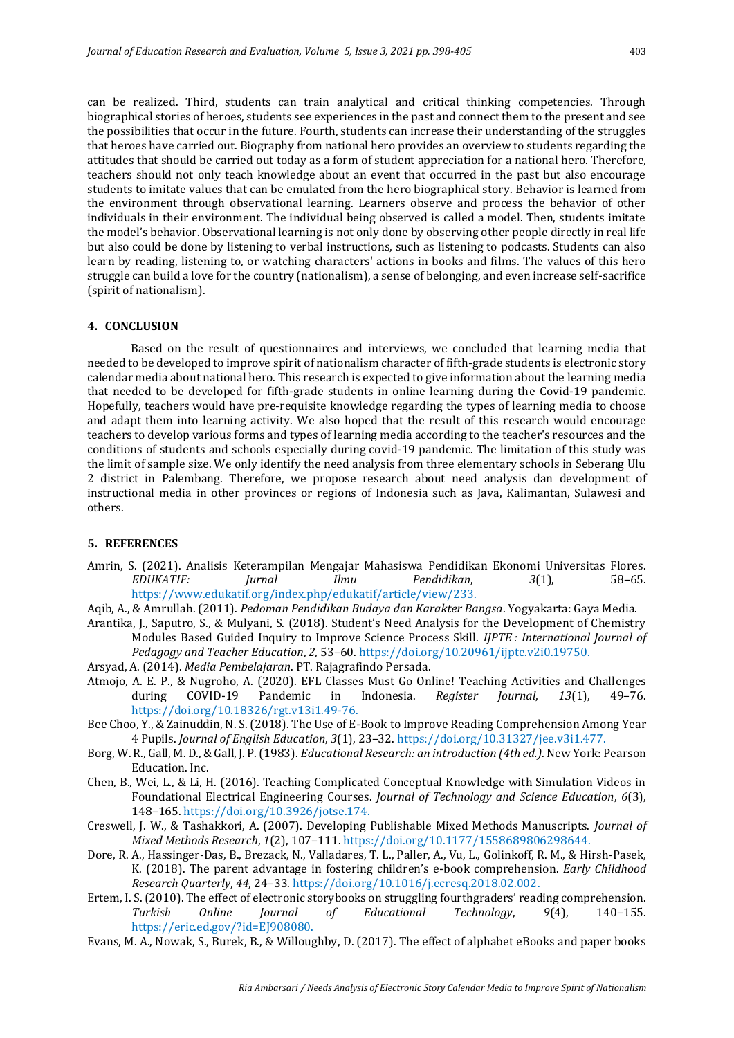can be realized. Third, students can train analytical and critical thinking competencies. Through biographical stories of heroes, students see experiences in the past and connect them to the present and see the possibilities that occur in the future. Fourth, students can increase their understanding of the struggles that heroes have carried out. Biography from national hero provides an overview to students regarding the attitudes that should be carried out today as a form of student appreciation for a national hero. Therefore, teachers should not only teach knowledge about an event that occurred in the past but also encourage students to imitate values that can be emulated from the hero biographical story. Behavior is learned from the environment through observational learning. Learners observe and process the behavior of other individuals in their environment. The individual being observed is called a model. Then, students imitate the model's behavior. Observational learning is not only done by observing other people directly in real life but also could be done by listening to verbal instructions, such as listening to podcasts. Students can also learn by reading, listening to, or watching characters' actions in books and films. The values of this hero struggle can build a love for the country (nationalism), a sense of belonging, and even increase self-sacrifice (spirit of nationalism).

### **4. CONCLUSION**

Based on the result of questionnaires and interviews, we concluded that learning media that needed to be developed to improve spirit of nationalism character of fifth-grade students is electronic story calendar media about national hero. This research is expected to give information about the learning media that needed to be developed for fifth-grade students in online learning during the Covid-19 pandemic. Hopefully, teachers would have pre-requisite knowledge regarding the types of learning media to choose and adapt them into learning activity. We also hoped that the result of this research would encourage teachers to develop various forms and types of learning media according to the teacher's resources and the conditions of students and schools especially during covid-19 pandemic. The limitation of this study was the limit of sample size. We only identify the need analysis from three elementary schools in Seberang Ulu 2 district in Palembang. Therefore, we propose research about need analysis dan development of instructional media in other provinces or regions of Indonesia such as Java, Kalimantan, Sulawesi and others.

#### **5. REFERENCES**

Amrin, S. (2021). Analisis Keterampilan Mengajar Mahasiswa Pendidikan Ekonomi Universitas Flores. *EDUKATIF: Jurnal Ilmu Pendidikan*, *3*(1), 58–65. https://www.edukatif.org/index.php/edukatif/article/view/233.

Aqib, A., & Amrullah. (2011). *Pedoman Pendidikan Budaya dan Karakter Bangsa*. Yogyakarta: Gaya Media.

- Arantika, J., Saputro, S., & Mulyani, S. (2018). Student's Need Analysis for the Development of Chemistry Modules Based Guided Inquiry to Improve Science Process Skill. *IJPTE : International Journal of Pedagogy and Teacher Education*, *2*, 53–60. https://doi.org/10.20961/ijpte.v2i0.19750.
- Arsyad, A. (2014). *Media Pembelajaran*. PT. Rajagrafindo Persada.
- Atmojo, A. E. P., & Nugroho, A. (2020). EFL Classes Must Go Online! Teaching Activities and Challenges during COVID-19 Pandemic in Indonesia. *Register Journal*, *13*(1), 49–76. https://doi.org/10.18326/rgt.v13i1.49-76.
- Bee Choo, Y., & Zainuddin, N. S. (2018). The Use of E-Book to Improve Reading Comprehension Among Year 4 Pupils. *Journal of English Education*, *3*(1), 23–32. https://doi.org/10.31327/jee.v3i1.477.
- Borg, W. R., Gall, M. D., & Gall, J. P. (1983). *Educational Research: an introduction (4th ed.)*. New York: Pearson Education. Inc.
- Chen, B., Wei, L., & Li, H. (2016). Teaching Complicated Conceptual Knowledge with Simulation Videos in Foundational Electrical Engineering Courses. *Journal of Technology and Science Education*, *6*(3), 148–165. https://doi.org/10.3926/jotse.174.
- Creswell, J. W., & Tashakkori, A. (2007). Developing Publishable Mixed Methods Manuscripts. *Journal of Mixed Methods Research*, *1*(2), 107–111. https://doi.org/10.1177/1558689806298644.
- Dore, R. A., Hassinger-Das, B., Brezack, N., Valladares, T. L., Paller, A., Vu, L., Golinkoff, R. M., & Hirsh-Pasek, K. (2018). The parent advantage in fostering children's e-book comprehension. *Early Childhood Research Quarterly*, *44*, 24–33. https://doi.org/10.1016/j.ecresq.2018.02.002.
- Ertem, I. S. (2010). The effect of electronic storybooks on struggling fourthgraders' reading comprehension. *Turkish Online Journal of Educational Technology*, *9*(4), 140–155. https://eric.ed.gov/?id=EJ908080.
- Evans, M. A., Nowak, S., Burek, B., & Willoughby, D. (2017). The effect of alphabet eBooks and paper books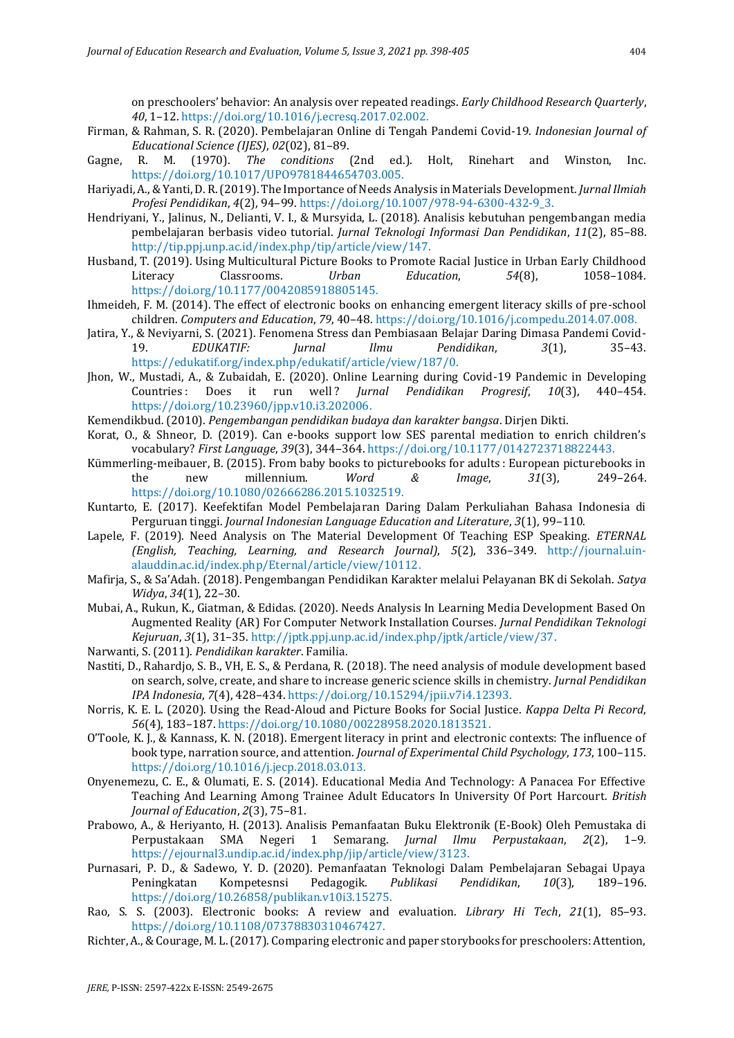on preschoolers' behavior: An analysis over repeated readings. *Early Childhood Research Quarterly*, *40*, 1–12. https://doi.org/10.1016/j.ecresq.2017.02.002.

- Firman, & Rahman, S. R. (2020). Pembelajaran Online di Tengah Pandemi Covid-19. *Indonesian Journal of Educational Science (IJES)*, *02*(02), 81–89.
- Gagne, R. M. (1970). *The conditions* (2nd ed.). Holt, Rinehart and Winston, Inc. https://doi.org/10.1017/UPO9781844654703.005.
- Hariyadi, A., & Yanti, D. R. (2019). The Importance of Needs Analysis in Materials Development. *Jurnal Ilmiah Profesi Pendidikan*, *4*(2), 94–99. https://doi.org/10.1007/978-94-6300-432-9\_3.
- Hendriyani, Y., Jalinus, N., Delianti, V. I., & Mursyida, L. (2018). Analisis kebutuhan pengembangan media pembelajaran berbasis video tutorial. *Jurnal Teknologi Informasi Dan Pendidikan*, *11*(2), 85–88. http://tip.ppj.unp.ac.id/index.php/tip/article/view/147.
- Husband, T. (2019). Using Multicultural Picture Books to Promote Racial Justice in Urban Early Childhood Literacy Classrooms. *Urban Education*, *54*(8), 1058–1084. https://doi.org/10.1177/0042085918805145.
- Ihmeideh, F. M. (2014). The effect of electronic books on enhancing emergent literacy skills of pre-school children. *Computers and Education*, *79*, 40–48. https://doi.org/10.1016/j.compedu.2014.07.008.
- Jatira, Y., & Neviyarni, S. (2021). Fenomena Stress dan Pembiasaan Belajar Daring Dimasa Pandemi Covid-19. *EDUKATIF: Jurnal Ilmu Pendidikan*, *3*(1), 35–43. https://edukatif.org/index.php/edukatif/article/view/187/0.
- Jhon, W., Mustadi, A., & Zubaidah, E. (2020). Online Learning during Covid-19 Pandemic in Developing Countries : Does it run well ? *Jurnal Pendidikan Progresif*, *10*(3), 440–454. https://doi.org/10.23960/jpp.v10.i3.202006.
- Kemendikbud. (2010). *Pengembangan pendidikan budaya dan karakter bangsa*. Dirjen Dikti.
- Korat, O., & Shneor, D. (2019). Can e-books support low SES parental mediation to enrich children's vocabulary? *First Language*, *39*(3), 344–364. https://doi.org/10.1177/0142723718822443.
- Kümmerling-meibauer, B. (2015). From baby books to picturebooks for adults : European picturebooks in the new millennium. *Word & Image*, *31*(3), 249–264. https://doi.org/10.1080/02666286.2015.1032519.
- Kuntarto, E. (2017). Keefektifan Model Pembelajaran Daring Dalam Perkuliahan Bahasa Indonesia di Perguruan tinggi. *Journal Indonesian Language Education and Literature*, *3*(1), 99–110.
- Lapele, F. (2019). Need Analysis on The Material Development Of Teaching ESP Speaking. *ETERNAL (English, Teaching, Learning, and Research Journal)*, *5*(2), 336–349. http://journal.uinalauddin.ac.id/index.php/Eternal/article/view/10112.
- Mafirja, S., & Sa'Adah. (2018). Pengembangan Pendidikan Karakter melalui Pelayanan BK di Sekolah. *Satya Widya*, *34*(1), 22–30.
- Mubai, A., Rukun, K., Giatman, & Edidas. (2020). Needs Analysis In Learning Media Development Based On Augmented Reality (AR) For Computer Network Installation Courses. *Jurnal Pendidikan Teknologi Kejuruan*, *3*(1), 31–35. http://jptk.ppj.unp.ac.id/index.php/jptk/article/view/37.
- Narwanti, S. (2011). *Pendidikan karakter*. Familia.
- Nastiti, D., Rahardjo, S. B., VH, E. S., & Perdana, R. (2018). The need analysis of module development based on search, solve, create, and share to increase generic science skills in chemistry. *Jurnal Pendidikan IPA Indonesia*, *7*(4), 428–434. https://doi.org/10.15294/jpii.v7i4.12393.
- Norris, K. E. L. (2020). Using the Read-Aloud and Picture Books for Social Justice. *Kappa Delta Pi Record*, *56*(4), 183–187. https://doi.org/10.1080/00228958.2020.1813521.
- O'Toole, K. J., & Kannass, K. N. (2018). Emergent literacy in print and electronic contexts: The influence of book type, narration source, and attention. *Journal of Experimental Child Psychology*, *173*, 100–115. https://doi.org/10.1016/j.jecp.2018.03.013.
- Onyenemezu, C. E., & Olumati, E. S. (2014). Educational Media And Technology: A Panacea For Effective Teaching And Learning Among Trainee Adult Educators In University Of Port Harcourt. *British Journal of Education*, *2*(3), 75–81.
- Prabowo, A., & Heriyanto, H. (2013). Analisis Pemanfaatan Buku Elektronik (E-Book) Oleh Pemustaka di Perpustakaan SMA Negeri 1 Semarang. *Jurnal Ilmu Perpustakaan*, *2*(2), 1–9. https://ejournal3.undip.ac.id/index.php/jip/article/view/3123.
- Purnasari, P. D., & Sadewo, Y. D. (2020). Pemanfaatan Teknologi Dalam Pembelajaran Sebagai Upaya Peningkatan Kompetesnsi Pedagogik. *Publikasi Pendidikan*, *10*(3), 189–196. https://doi.org/10.26858/publikan.v10i3.15275.
- Rao, S. S. (2003). Electronic books: A review and evaluation. *Library Hi Tech*, *21*(1), 85–93. https://doi.org/10.1108/07378830310467427.
- Richter, A., & Courage, M. L. (2017). Comparing electronic and paper storybooks for preschoolers: Attention,